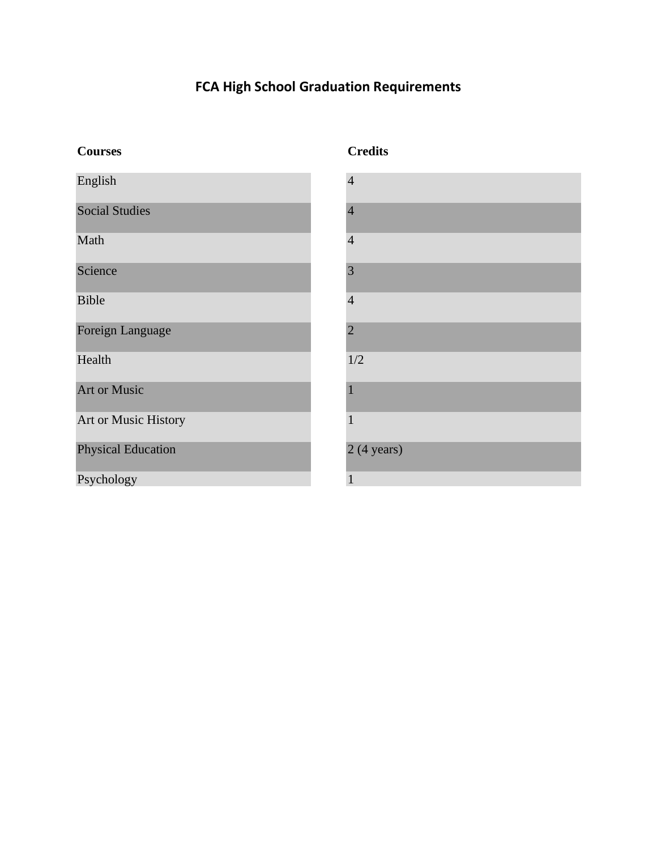# **FCA High School Graduation Requirements**

| <b>Courses</b>            |                                |
|---------------------------|--------------------------------|
| English                   | $\angle$                       |
| <b>Social Studies</b>     | $\angle$                       |
| Math                      | $\angle$                       |
| Science                   | $\ddot{\cdot}$                 |
| <b>Bible</b>              | $\angle$                       |
| Foreign Language          | $\tilde{z}$                    |
| Health                    | $\begin{array}{c} \end{array}$ |
| <b>Art or Music</b>       | $\overline{1}$                 |
| Art or Music History      |                                |
| <b>Physical Education</b> | $\tilde{z}$                    |
| Psychology                |                                |

## **Credits**

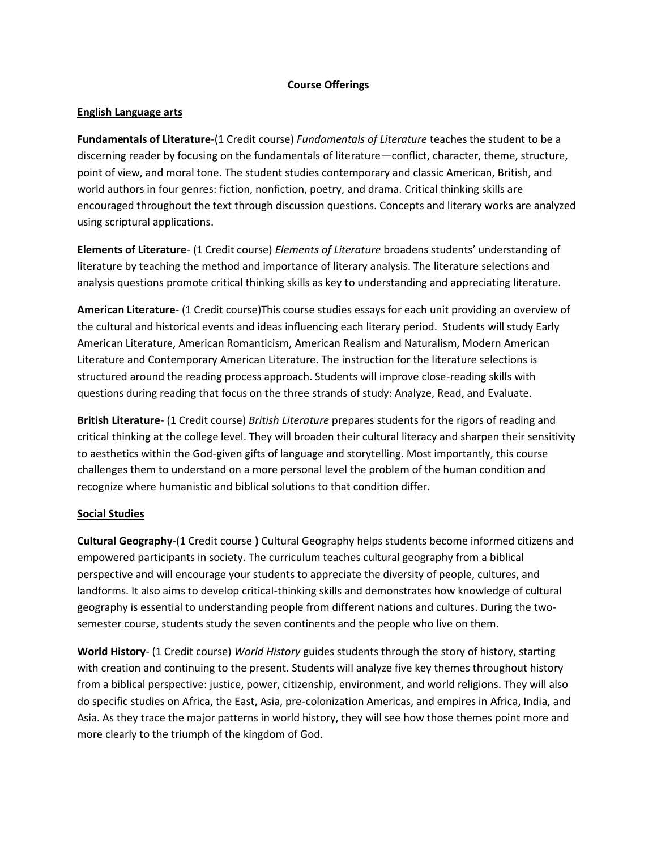#### **Course Offerings**

#### **English Language arts**

**Fundamentals of Literature**-(1 Credit course) *Fundamentals of Literature* teaches the student to be a discerning reader by focusing on the fundamentals of literature—conflict, character, theme, structure, point of view, and moral tone. The student studies contemporary and classic American, British, and world authors in four genres: fiction, nonfiction, poetry, and drama. Critical thinking skills are encouraged throughout the text through discussion questions. Concepts and literary works are analyzed using scriptural applications.

**Elements of Literature**- (1 Credit course) *Elements of Literature* broadens students' understanding of literature by teaching the method and importance of literary analysis. The literature selections and analysis questions promote critical thinking skills as key to understanding and appreciating literature.

**American Literature**- (1 Credit course)This course studies essays for each unit providing an overview of the cultural and historical events and ideas influencing each literary period. Students will study Early American Literature, American Romanticism, American Realism and Naturalism, Modern American Literature and Contemporary American Literature. The instruction for the literature selections is structured around the reading process approach. Students will improve close-reading skills with questions during reading that focus on the three strands of study: Analyze, Read, and Evaluate.

**British Literature**- (1 Credit course) *British Literature* prepares students for the rigors of reading and critical thinking at the college level. They will broaden their cultural literacy and sharpen their sensitivity to aesthetics within the God-given gifts of language and storytelling. Most importantly, this course challenges them to understand on a more personal level the problem of the human condition and recognize where humanistic and biblical solutions to that condition differ.

#### **Social Studies**

**Cultural Geography**-(1 Credit course **)** Cultural Geography helps students become informed citizens and empowered participants in society. The curriculum teaches cultural geography from a biblical perspective and will encourage your students to appreciate the diversity of people, cultures, and landforms. It also aims to develop critical-thinking skills and demonstrates how knowledge of cultural geography is essential to understanding people from different nations and cultures. During the twosemester course, students study the seven continents and the people who live on them.

**World History**- (1 Credit course) *World History* guides students through the story of history, starting with creation and continuing to the present. Students will analyze five key themes throughout history from a biblical perspective: justice, power, citizenship, environment, and world religions. They will also do specific studies on Africa, the East, Asia, pre-colonization Americas, and empires in Africa, India, and Asia. As they trace the major patterns in world history, they will see how those themes point more and more clearly to the triumph of the kingdom of God.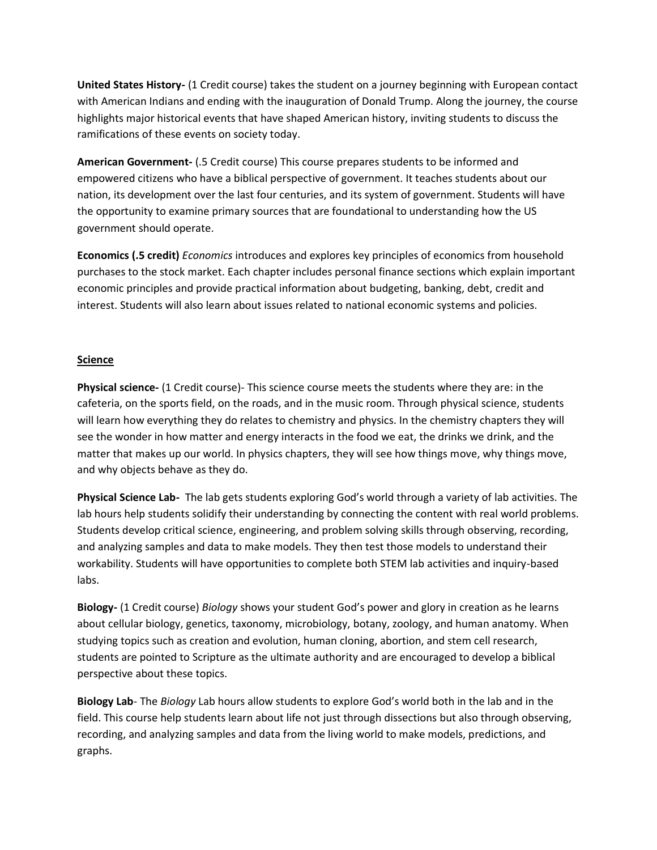**United States History-** (1 Credit course) takes the student on a journey beginning with European contact with American Indians and ending with the inauguration of Donald Trump. Along the journey, the course highlights major historical events that have shaped American history, inviting students to discuss the ramifications of these events on society today.

**American Government-** (.5 Credit course) This course prepares students to be informed and empowered citizens who have a biblical perspective of government. It teaches students about our nation, its development over the last four centuries, and its system of government. Students will have the opportunity to examine primary sources that are foundational to understanding how the US government should operate.

**Economics (.5 credit)** *Economics* introduces and explores key principles of economics from household purchases to the stock market. Each chapter includes personal finance sections which explain important economic principles and provide practical information about budgeting, banking, debt, credit and interest. Students will also learn about issues related to national economic systems and policies.

#### **Science**

**Physical science-** (1 Credit course)- This science course meets the students where they are: in the cafeteria, on the sports field, on the roads, and in the music room. Through physical science, students will learn how everything they do relates to chemistry and physics. In the chemistry chapters they will see the wonder in how matter and energy interacts in the food we eat, the drinks we drink, and the matter that makes up our world. In physics chapters, they will see how things move, why things move, and why objects behave as they do.

**Physical Science Lab-** The lab gets students exploring God's world through a variety of lab activities. The lab hours help students solidify their understanding by connecting the content with real world problems. Students develop critical science, engineering, and problem solving skills through observing, recording, and analyzing samples and data to make models. They then test those models to understand their workability. Students will have opportunities to complete both STEM lab activities and inquiry-based labs.

**Biology-** (1 Credit course) *Biology* shows your student God's power and glory in creation as he learns about cellular biology, genetics, taxonomy, microbiology, botany, zoology, and human anatomy. When studying topics such as creation and evolution, human cloning, abortion, and stem cell research, students are pointed to Scripture as the ultimate authority and are encouraged to develop a biblical perspective about these topics.

**Biology Lab**- The *Biology* Lab hours allow students to explore God's world both in the lab and in the field. This course help students learn about life not just through dissections but also through observing, recording, and analyzing samples and data from the living world to make models, predictions, and graphs.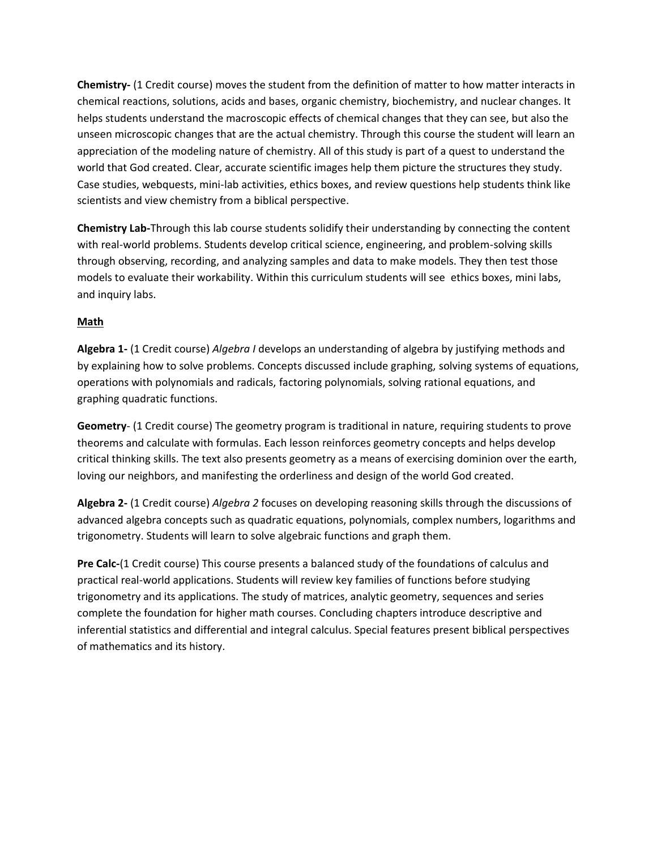**Chemistry-** (1 Credit course) moves the student from the definition of matter to how matter interacts in chemical reactions, solutions, acids and bases, organic chemistry, biochemistry, and nuclear changes. It helps students understand the macroscopic effects of chemical changes that they can see, but also the unseen microscopic changes that are the actual chemistry. Through this course the student will learn an appreciation of the modeling nature of chemistry. All of this study is part of a quest to understand the world that God created. Clear, accurate scientific images help them picture the structures they study. Case studies, webquests, mini-lab activities, ethics boxes, and review questions help students think like scientists and view chemistry from a biblical perspective.

**Chemistry Lab-**Through this lab course students solidify their understanding by connecting the content with real-world problems. Students develop critical science, engineering, and problem-solving skills through observing, recording, and analyzing samples and data to make models. They then test those models to evaluate their workability. Within this curriculum students will see ethics boxes, mini labs, and inquiry labs.

### **Math**

**Algebra 1-** (1 Credit course) *Algebra I* develops an understanding of algebra by justifying methods and by explaining how to solve problems. Concepts discussed include graphing, solving systems of equations, operations with polynomials and radicals, factoring polynomials, solving rational equations, and graphing quadratic functions.

**Geometry**- (1 Credit course) The geometry program is traditional in nature, requiring students to prove theorems and calculate with formulas. Each lesson reinforces geometry concepts and helps develop critical thinking skills. The text also presents geometry as a means of exercising dominion over the earth, loving our neighbors, and manifesting the orderliness and design of the world God created.

**Algebra 2-** (1 Credit course) *Algebra 2* focuses on developing reasoning skills through the discussions of advanced algebra concepts such as quadratic equations, polynomials, complex numbers, logarithms and trigonometry. Students will learn to solve algebraic functions and graph them.

**Pre Calc-**(1 Credit course) This course presents a balanced study of the foundations of calculus and practical real-world applications. Students will review key families of functions before studying trigonometry and its applications. The study of matrices, analytic geometry, sequences and series complete the foundation for higher math courses. Concluding chapters introduce descriptive and inferential statistics and differential and integral calculus. Special features present biblical perspectives of mathematics and its history.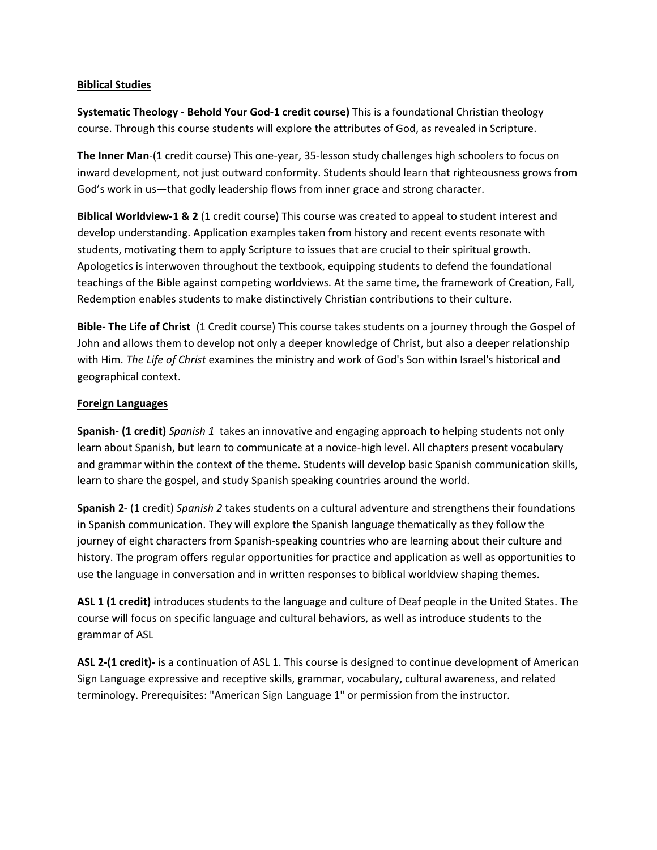#### **Biblical Studies**

**Systematic Theology - Behold Your God-1 credit course)** This is a foundational Christian theology course. Through this course students will explore the attributes of God, as revealed in Scripture.

**The Inner Man**-(1 credit course) This one-year, 35-lesson study challenges high schoolers to focus on inward development, not just outward conformity. Students should learn that righteousness grows from God's work in us—that godly leadership flows from inner grace and strong character.

**Biblical Worldview-1 & 2** (1 credit course) This course was created to appeal to student interest and develop understanding. Application examples taken from history and recent events resonate with students, motivating them to apply Scripture to issues that are crucial to their spiritual growth. Apologetics is interwoven throughout the textbook, equipping students to defend the foundational teachings of the Bible against competing worldviews. At the same time, the framework of Creation, Fall, Redemption enables students to make distinctively Christian contributions to their culture.

**Bible- The Life of Christ** (1 Credit course) This course takes students on a journey through the Gospel of John and allows them to develop not only a deeper knowledge of Christ, but also a deeper relationship with Him. *The Life of Christ* examines the ministry and work of God's Son within Israel's historical and geographical context.

#### **Foreign Languages**

**Spanish- (1 credit)** *Spanish 1* takes an innovative and engaging approach to helping students not only learn about Spanish, but learn to communicate at a novice-high level. All chapters present vocabulary and grammar within the context of the theme. Students will develop basic Spanish communication skills, learn to share the gospel, and study Spanish speaking countries around the world.

**Spanish 2**- (1 credit) *Spanish 2* takes students on a cultural adventure and strengthens their foundations in Spanish communication. They will explore the Spanish language thematically as they follow the journey of eight characters from Spanish-speaking countries who are learning about their culture and history. The program offers regular opportunities for practice and application as well as opportunities to use the language in conversation and in written responses to biblical worldview shaping themes.

**ASL 1 (1 credit)** introduces students to the language and culture of Deaf people in the United States. The course will focus on specific language and cultural behaviors, as well as introduce students to the grammar of ASL

**ASL 2-(1 credit)-** is a continuation of ASL 1. This course is designed to continue development of American Sign Language expressive and receptive skills, grammar, vocabulary, cultural awareness, and related terminology. Prerequisites: "American Sign Language 1" or permission from the instructor.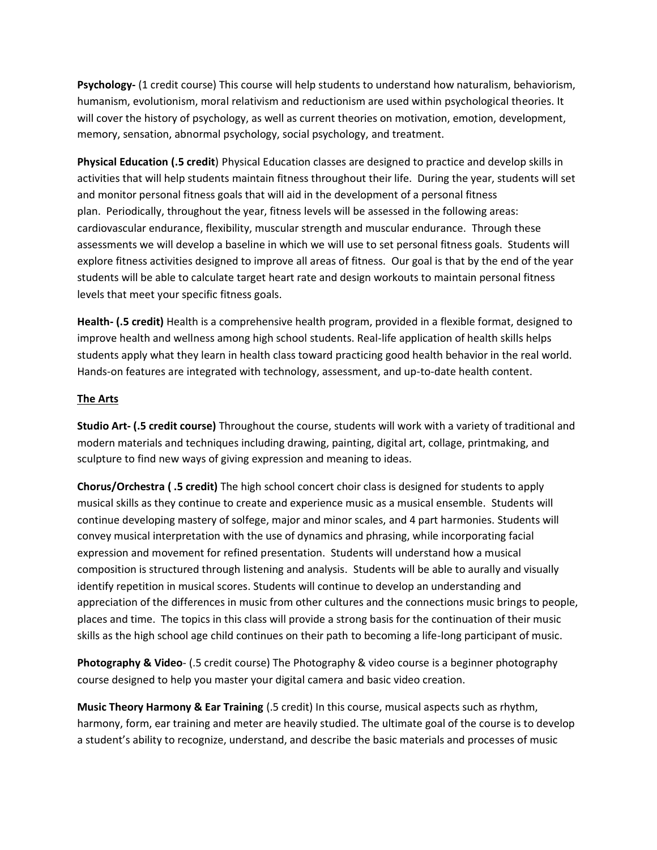**Psychology-** (1 credit course) This course will help students to understand how naturalism, behaviorism, humanism, evolutionism, moral relativism and reductionism are used within psychological theories. It will cover the history of psychology, as well as current theories on motivation, emotion, development, memory, sensation, abnormal psychology, social psychology, and treatment.

**Physical Education (.5 credit**) Physical Education classes are designed to practice and develop skills in activities that will help students maintain fitness throughout their life. During the year, students will set and monitor personal fitness goals that will aid in the development of a personal fitness plan. Periodically, throughout the year, fitness levels will be assessed in the following areas: cardiovascular endurance, flexibility, muscular strength and muscular endurance. Through these assessments we will develop a baseline in which we will use to set personal fitness goals. Students will explore fitness activities designed to improve all areas of fitness. Our goal is that by the end of the year students will be able to calculate target heart rate and design workouts to maintain personal fitness levels that meet your specific fitness goals.

**Health- (.5 credit)** Health is a comprehensive health program, provided in a flexible format, designed to improve health and wellness among high school students. Real-life application of health skills helps students apply what they learn in health class toward practicing good health behavior in the real world. Hands-on features are integrated with technology, assessment, and up-to-date health content.

#### **The Arts**

**Studio Art- (.5 credit course)** Throughout the course, students will work with a variety of traditional and modern materials and techniques including drawing, painting, digital art, collage, printmaking, and sculpture to find new ways of giving expression and meaning to ideas.

**Chorus/Orchestra ( .5 credit)** The high school concert choir class is designed for students to apply musical skills as they continue to create and experience music as a musical ensemble. Students will continue developing mastery of solfege, major and minor scales, and 4 part harmonies. Students will convey musical interpretation with the use of dynamics and phrasing, while incorporating facial expression and movement for refined presentation. Students will understand how a musical composition is structured through listening and analysis. Students will be able to aurally and visually identify repetition in musical scores. Students will continue to develop an understanding and appreciation of the differences in music from other cultures and the connections music brings to people, places and time. The topics in this class will provide a strong basis for the continuation of their music skills as the high school age child continues on their path to becoming a life-long participant of music.

**Photography & Video**- (.5 credit course) The Photography & video course is a beginner photography course designed to help you master your digital camera and basic video creation.

**Music Theory Harmony & Ear Training** (.5 credit) In this course, musical aspects such as rhythm, harmony, form, ear training and meter are heavily studied. The ultimate goal of the course is to develop a student's ability to recognize, understand, and describe the basic materials and processes of music